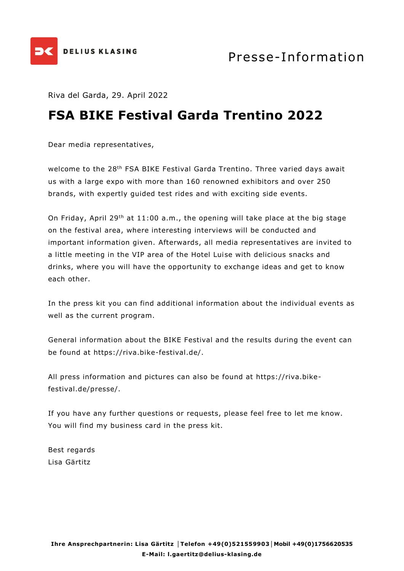

Riva del Garda, 29. April 2022

## **FSA BIKE Festival Garda Trentino 2022**

Dear media representatives,

welcome to the 28<sup>th</sup> FSA BIKE Festival Garda Trentino. Three varied days await us with a large expo with more than 160 renowned exhibitors and over 250 brands, with expertly guided test rides and with exciting side events.

On Friday, April 29<sup>th</sup> at 11:00 a.m., the opening will take place at the big stage on the festival area, where interesting interviews will be conducted and important information given. Afterwards, all media representatives are invited to a little meeting in the VIP area of the Hotel Luise with delicious snacks and drinks, where you will have the opportunity to exchange ideas and get to know each other.

In the press kit you can find additional information about the individual events as well as the current program.

General information about the BIKE Festival and the results during the event can be found at https://riva.bike-festival.de/.

All press information and pictures can also be found at https://riva.bikefestival.de/presse/.

If you have any further questions or requests, please feel free to let me know. You will find my business card in the press kit.

Best regards Lisa Gärtitz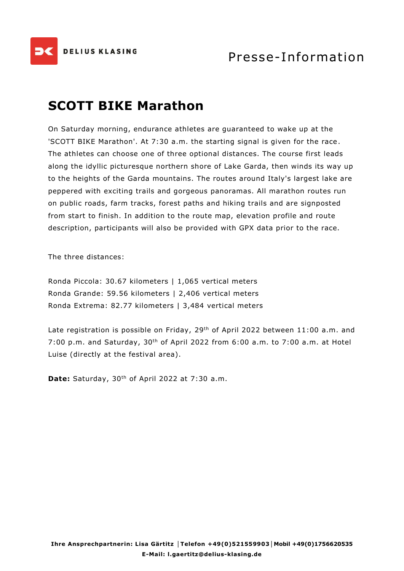

## **SCOTT BIKE Marathon**

On Saturday morning, endurance athletes are guaranteed to wake up at the 'SCOTT BIKE Marathon'. At 7:30 a.m. the starting signal is given for the race. The athletes can choose one of three optional distances. The course first leads along the idyllic picturesque northern shore of Lake Garda, then winds its way up to the heights of the Garda mountains. The routes around Italy's largest lake are peppered with exciting trails and gorgeous panoramas. All marathon routes run on public roads, farm tracks, forest paths and hiking trails and are signposted from start to finish. In addition to the route map, elevation profile and route description, participants will also be provided with GPX data prior to the race.

The three distances:

Ronda Piccola: 30.67 kilometers | 1,065 vertical meters Ronda Grande: 59.56 kilometers | 2,406 vertical meters Ronda Extrema: 82.77 kilometers | 3,484 vertical meters

Late registration is possible on Friday, 29<sup>th</sup> of April 2022 between 11:00 a.m. and 7:00 p.m. and Saturday, 30th of April 2022 from 6:00 a.m. to 7:00 a.m. at Hotel Luise (directly at the festival area).

**Date:** Saturday, 30th of April 2022 at 7:30 a.m.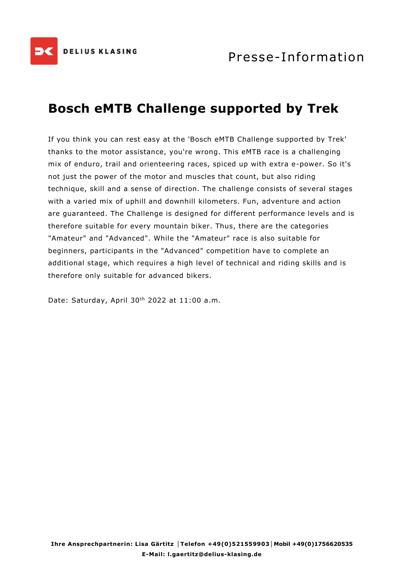

# **Bosch eMTB Challenge supported by Trek**

If you think you can rest easy at the 'Bosch eMTB Challenge supported by Trek' thanks to the motor assistance, you're wrong. This eMTB race is a challenging mix of enduro, trail and orienteering races, spiced up with extra e-power. So it's not just the power of the motor and muscles that count, but also riding technique, skill and a sense of direction. The challenge consists of several stages with a varied mix of uphill and downhill kilometers. Fun, adventure and action are guaranteed. The Challenge is designed for different performance levels and is therefore suitable for every mountain biker. Thus, there are the categories "Amateur" and "Advanced". While the "Amateur" race is also suitable for beginners, participants in the "Advanced" competition have to complete an additional stage, which requires a high level of technical and riding skills and is therefore only suitable for advanced bikers.

Date: Saturday, April 30<sup>th</sup> 2022 at 11:00 a.m.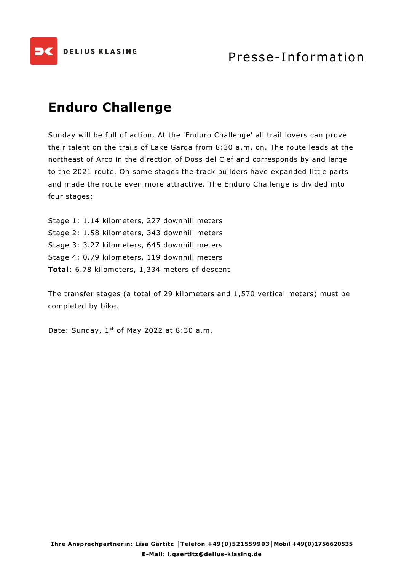

## **Enduro Challenge**

Sunday will be full of action. At the 'Enduro Challenge' all trail lovers can prove their talent on the trails of Lake Garda from 8:30 a.m. on. The route leads at the northeast of Arco in the direction of Doss del Clef and corresponds by and large to the 2021 route. On some stages the track builders have expanded little parts and made the route even more attractive. The Enduro Challenge is divided into four stages:

Stage 1: 1.14 kilometers, 227 downhill meters Stage 2: 1.58 kilometers, 343 downhill meters Stage 3: 3.27 kilometers, 645 downhill meters Stage 4: 0.79 kilometers, 119 downhill meters **Total**: 6.78 kilometers, 1,334 meters of descent

The transfer stages (a total of 29 kilometers and 1,570 vertical meters) must be completed by bike.

Date: Sunday,  $1<sup>st</sup>$  of May 2022 at 8:30 a.m.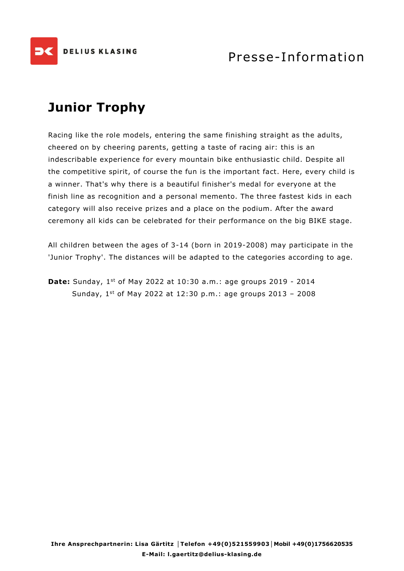

# **Junior Trophy**

Racing like the role models, entering the same finishing straight as the adults, cheered on by cheering parents, getting a taste of racing air: this is an indescribable experience for every mountain bike enthusiastic child. Despite all the competitive spirit, of course the fun is the important fact. Here, every child is a winner. That's why there is a beautiful finisher's medal for everyone at the finish line as recognition and a personal memento. The three fastest kids in each category will also receive prizes and a place on the podium. After the award ceremony all kids can be celebrated for their performance on the big BIKE stage.

All children between the ages of 3-14 (born in 2019-2008) may participate in the 'Junior Trophy'. The distances will be adapted to the categories according to age.

**Date:** Sunday, 1<sup>st</sup> of May 2022 at 10:30 a.m.: age groups 2019 - 2014 Sunday, 1st of May 2022 at 12:30 p.m.: age groups 2013 - 2008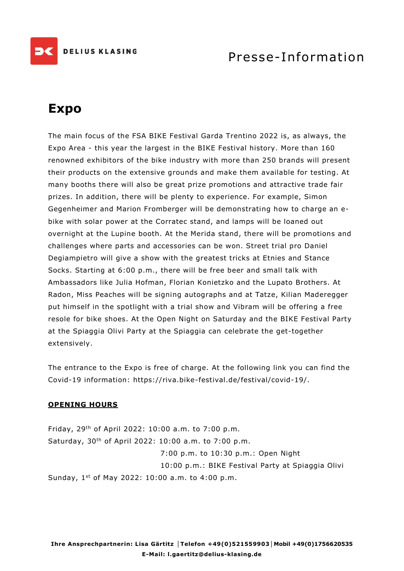

### Presse-Information

# **Expo**

The main focus of the FSA BIKE Festival Garda Trentino 2022 is, as always, the Expo Area - this year the largest in the BIKE Festival history. More than 160 renowned exhibitors of the bike industry with more than 250 brands will present their products on the extensive grounds and make them available for testing. At many booths there will also be great prize promotions and attractive trade fair prizes. In addition, there will be plenty to experience. For example, Simon Gegenheimer and Marion Fromberger will be demonstrating how to charge an ebike with solar power at the Corratec stand, and lamps will be loaned out overnight at the Lupine booth. At the Merida stand, there will be promotions and challenges where parts and accessories can be won. Street trial pro Daniel Degiampietro will give a show with the greatest tricks at Etnies and Stance Socks. Starting at 6:00 p.m., there will be free beer and small talk with Ambassadors like Julia Hofman, Florian Konietzko and the Lupato Brothers. At Radon, Miss Peaches will be signing autographs and at Tatze, Kilian Maderegger put himself in the spotlight with a trial show and Vibram will be offering a free resole for bike shoes. At the Open Night on Saturday and the BIKE Festival Party at the Spiaggia Olivi Party at the Spiaggia can celebrate the get-together extensively.

The entrance to the Expo is free of charge. At the following link you can find the Covid-19 information: https://riva.bike-festival.de/festival/covid-19/.

#### **OPENING HOURS**

Friday, 29th of April 2022: 10:00 a.m. to 7:00 p.m. Saturday, 30th of April 2022: 10:00 a.m. to 7:00 p.m. 7:00 p.m. to 10:30 p.m.: Open Night 10:00 p.m.: BIKE Festival Party at Spiaggia Olivi Sunday, 1st of May 2022: 10:00 a.m. to 4:00 p.m.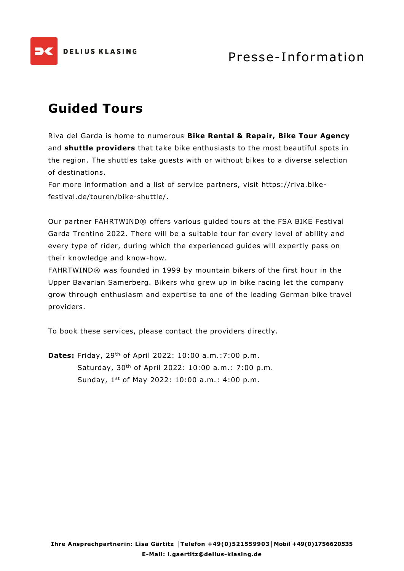

# **Guided Tours**

Riva del Garda is home to numerous **Bike Rental & Repair, Bike Tour Agency** and **shuttle providers** that take bike enthusiasts to the most beautiful spots in the region. The shuttles take guests with or without bikes to a diverse selection of destinations.

For more information and a list of service partners, visit https://riva.bikefestival.de/touren/bike-shuttle/.

Our partner FAHRTWIND® offers various guided tours at the FSA BIKE Festival Garda Trentino 2022. There will be a suitable tour for every level of ability and every type of rider, during which the experienced guides will expertly pass on their knowledge and know-how.

FAHRTWIND® was founded in 1999 by mountain bikers of the first hour in the Upper Bavarian Samerberg. Bikers who grew up in bike racing let the company grow through enthusiasm and expertise to one of the leading German bike travel providers.

To book these services, please contact the providers directly.

**Dates:** Friday, 29<sup>th</sup> of April 2022: 10:00 a.m.:7:00 p.m. Saturday, 30th of April 2022: 10:00 a.m.: 7:00 p.m. Sunday, 1 st of May 2022: 10:00 a.m.: 4:00 p.m.